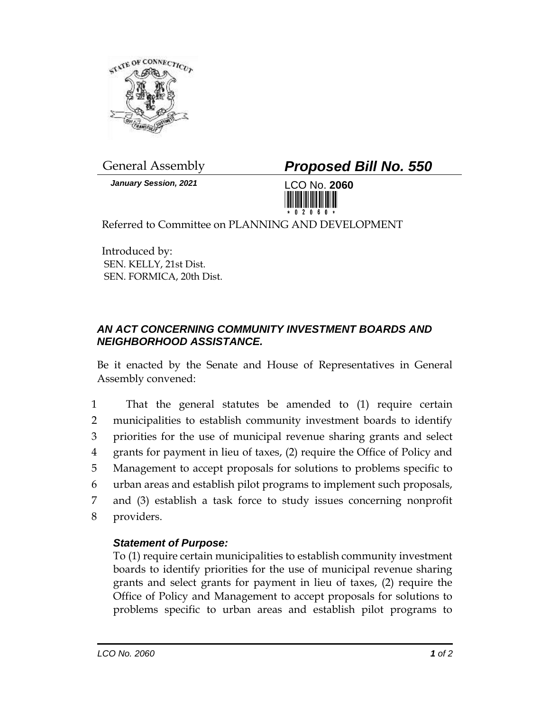

*January Session, 2021* LCO No. **2060**

General Assembly *Proposed Bill No. 550*



Referred to Committee on PLANNING AND DEVELOPMENT

Introduced by: SEN. KELLY, 21st Dist. SEN. FORMICA, 20th Dist.

## *AN ACT CONCERNING COMMUNITY INVESTMENT BOARDS AND NEIGHBORHOOD ASSISTANCE.*

Be it enacted by the Senate and House of Representatives in General Assembly convened:

 That the general statutes be amended to (1) require certain municipalities to establish community investment boards to identify priorities for the use of municipal revenue sharing grants and select grants for payment in lieu of taxes, (2) require the Office of Policy and Management to accept proposals for solutions to problems specific to urban areas and establish pilot programs to implement such proposals, and (3) establish a task force to study issues concerning nonprofit providers.

## *Statement of Purpose:*

To (1) require certain municipalities to establish community investment boards to identify priorities for the use of municipal revenue sharing grants and select grants for payment in lieu of taxes, (2) require the Office of Policy and Management to accept proposals for solutions to problems specific to urban areas and establish pilot programs to